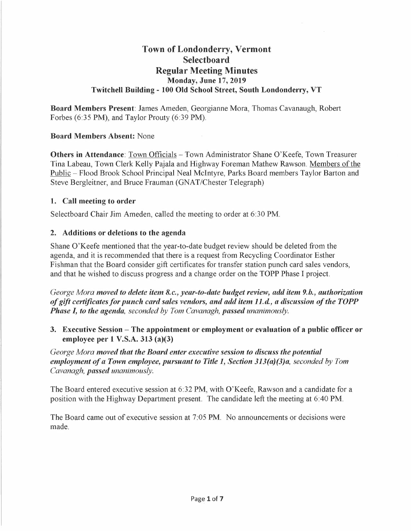# **Town of Londonderry, Vermont Selectboard Regular Meeting Minutes Monday, June 17, 2019 Twitchell Building - 100 Old School Street, South Londonderry, VT**

**Board Members Present:** James Ameden, Georgianne Mora, Thomas Cavanaugh, Robert Forbes (6:35 PM), and Taylor Prouty (6:39 PM).

### **Board Members Absent:** None

**Others in Attendance:** Town Officials - Town Administrator Shane O'Keefe, Town Treasurer Tina Labeau, Town Clerk Kelly Pajala and Highway Foreman Mathew Rawson. Members of the Public - Flood Brook School Principal Neal McIntyre, Parks Board members Taylor Barton and Steve Bergleitner, and Bruce Frauman (GNAT/Chester Telegraph)

### **1. Call meeting to order**

Selectboard Chair Jim Ameden, called the meeting to order at 6:30 PM.

### **2. Additions or deletions to the agenda**

Shane O'Keefe mentioned that the year-to-date budget review should be deleted from the agenda, and it is recommended that there is a request from Recycling Coordinator Esther Fishman that the Board consider gift certificates for transfer station punch card sales vendors, and that he wished to discuss progress and a change order on the TOPP Phase I project.

*George Mora moved to delete item 8.c., year-to-date budget review, add item 9.b., authorization of gift certificates for punch card sales vendors, and add item 11.<l, a discussion of the TOPP Phase I, to the agenda, seconded by Tom Cavanagh, passed unanimously.* 

**3. Executive Session - The appointment or employment or evaluation of a public officer or employee per 1 V.S.A. 313 (a)(3)** 

*George Mora moved that the Board enter executive session to discuss the potential employment of a Town employee, pursuant to Title 1, Section 313(a)(3)a, seconded by Tom Cavanagh, passed unanimously.* 

The Board entered executive session at 6:32 PM, with O'Keefe, Rawson and a candidate for a position with the Highway Department present. The candidate left the meeting at 6:40 PM.

The Board came out of executive session at 7:05 PM. No announcements or decisions were made.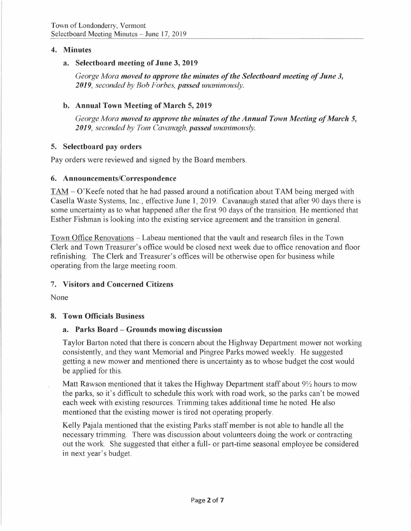### **4. Minutes**

### **a. Selectboard meeting of June 3, 2019**

*George Mora moved to approve the minutes of the Selectboard meeting of June 3, 2019, seconded by Bob Forbes, passed unanimously.* 

## **b. Annual Town Meeting of March 5, 2019**

*George Mora moved to approve the minutes of the Annual Town Meeting of March 5, 2019, seconded by Tom Cavanagh, passed unanimously.* 

## **5. Selectboard pay orders**

Pay orders were reviewed and signed by the Board members.

## **6. Announcements/Correspondence**

TAM - O'Keefe noted that he had passed around a notification about TAM being merged with Casella Waste Systems, Inc., effective June 1, 2019. Cavanaugh stated that after 90 days there is some uncertainty as to what happened after the first 90 days of the transition. He mentioned that Esther Fishman is looking into the existing service agreement and the transition in general.

Town Office Renovations - Labeau mentioned that the vault and research files in the Town Clerk and Town Treasurer's office would be closed next week due to office renovation and floor refinishing. The Clerk and Treasurer's offices will be otherwise open for business while operating from the large meeting room.

# 7. **Visitors and Concerned Citizens**

None

## **8. Town Officials Business**

## **a. Parks Board - Grounds mowing discussion**

Taylor Barton noted that there is concern about the Highway Department mower not working consistently, and they want Memorial and Pingree Parks mowed weekly. He suggested getting a new mower and mentioned there is uncertainty as to whose budget the cost would be applied for this.

Matt Rawson mentioned that it takes the Highway Department staff about  $9\frac{1}{2}$  hours to mow the parks, so it's difficult to schedule this work with road work, so the parks can't be mowed each week with existing resources. Trimming takes additional time he noted. He also mentioned that the existing mower is tired not operating properly.

Kelly Pajala mentioned that the existing Parks staff member is not able to handle all the necessary trimming. There was discussion about volunteers doing the work or contracting out the work. She suggested that either a full- or part-time seasonal employee be considered in next year's budget.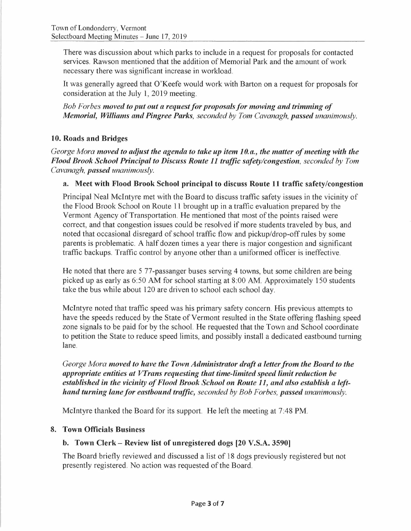There was discussion about which parks to include in a request for proposals for contacted services. Rawson mentioned that the addition of Memorial Park and the amount of work necessary there was significant increase in workload.

It was generally agreed that O'Keefe would work with Barton on a request for proposals for consideration at the July 1, 2019 meeting.

*Bob For bes moved to put out a request for proposals for mowing and trimming of Memorial, Williams and Pingree Parks, seconded by Tom Cavanagh, passed unanimously.* 

## **10. Roads and Bridges**

*George Mora moved to adjust the agenda to take up item 10. a., the matter of meeting with the Flood Brook School Principal to Discuss Route 11 traffic safety/congestion, seconded by Tom Cavanagh, passed unanimously.* 

## **a. Meet with Flood Brook School principal to discuss Route 11 traffic safety/congestion**

Principal Neal McIntyre met with the Board to discuss traffic safety issues in the vicinity of the Flood Brook School on Route 11 brought up in a traffic evaluation prepared by the Vermont Agency of Transportation. He mentioned that most of the points raised were correct, and that congestion issues could be resolved if more students traveled by bus, and noted that occasional disregard of school traffic flow and pickup/drop-off rules by some parents is problematic. A half dozen times a year there is major congestion and significant traffic backups. Traffic control by anyone other than a uniformed officer is ineffective.

He noted that there are 5 77-passanger buses serving 4 towns, but some children are being picked up as early as 6:50 AM for school starting at 8:00 AM. Approximately 150 students take the bus while about 120 are driven to school each school day.

McIntyre noted that traffic speed was his primary safety concern. His previous attempts to have the speeds reduced by the State of Vermont resulted in the State offering flashing speed zone signals to be paid for by the school. He requested that the Town and School coordinate to petition the State to reduce speed limits, and possibly install a dedicated eastbound turning lane.

*George Mora moved to have the Town Administrator draft a letter from the Board to the appropriate entities at V'Irans requesting that time-limited speed limit reduction be*  appropriate entities at *V* I rans requesting that time-limited speed limit reduction be<br>established in the vicinity of Flood Brook School on Route 11, and also establish a left*hand turning lane/or eastbound traffic, seconded by Bob Forbes, passed unanimously.* 

McIntyre thanked the Board for its support. He left the meeting at 7:48 PM.

## **8. Town Officials Business**

## **b. Town Clerk- Review list of unregistered dogs (20 V.S.A. 3590]**

The Board briefly reviewed and discussed a list of 18 dogs previously registered but not presently registered. No action was requested of the Board.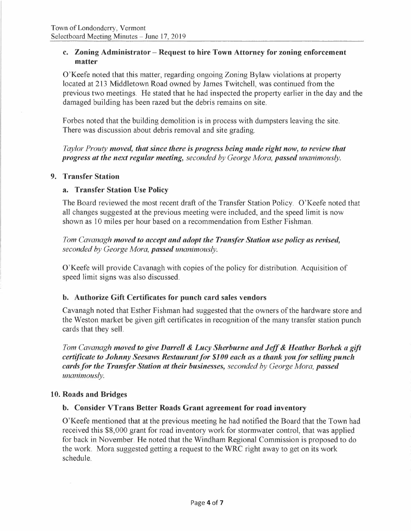### **c. Zoning Administrator - Request to hire Town Attorney for zoning enforcement matter**

O'Keefe noted that this matter, regarding ongoing Zoning Bylaw violations at property located at 213 Middletown Road owned by James Twitchell, was continued from the previous two meetings. He stated that he had inspected the property earlier in the day and the damaged building has been razed but the debris remains on site.

Forbes noted that the building demolition is in process with dumpsters leaving the site. There was discussion about debris removal and site grading.

*Taylor Prouty moved, that since there is progress being made right now, to review that progress at the next regular meeting, seconded by George Mora, passed unanimously.* 

#### **9. Transfer Station**

### **a. Transfer Station Use Policy**

The Board reviewed the most recent draft of the Transfer Station Policy. O'Keefe noted that all changes suggested at the previous meeting were included, and the speed limit is now shown as 10 miles per hour based on a recommendation from Esther Fishman.

## *Tom Cavanagh moved to accept and adopt the Transfer Station use policy as revised, seconded by George Mora, passed unanimously.*

O'Keefe will provide Cavanagh with copies of the policy for distribution. Acquisition of speed limit signs was also discussed.

## **b. Authorize Gift Certificates for punch card sales vendors**

Cavanagh noted that Esther Fishman had suggested that the owners of the hardware store and the Weston market be given gift certificates in recognition of the many transfer station punch cards that they sell.

*Tom Cavanagh moved to give Darrell* & *Lucy Sherburne and Jeff& Heather Borhek a gift certificate to Johnny Seesaws Restaurant for \$100 each as a thank you for selling punch cards for the Transfer Station at their businesses, seconded by George Mora, passed unanimously.* 

#### **10. Roads and Bridges**

#### **b. Consider VTrans Better Roads Grant agreement for road inventory**

O'Keefe mentioned that at the previous meeting he had notified the Board that the Town had received this \$8,000 grant for road inventory work for stormwater control, that was applied for back in November. He noted that the Windham Regional Commission is proposed to do the work. Mora suggested getting a request to the WRC right away to get on its work schedule.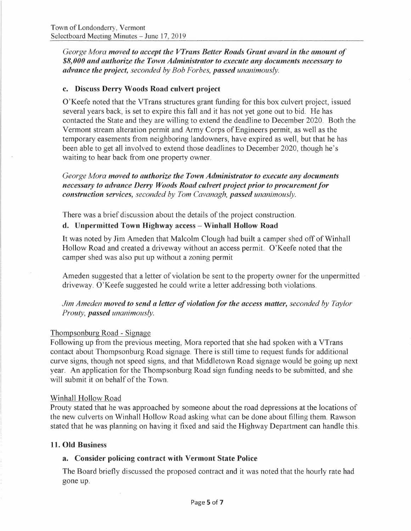*George Mora moved to accept the VTrans Better Roads Grant award in the amount of \$8,000 and authorize the Town Administrator to execute any documents necessary to advance the project, seconded by Bob Forbes, passed unanimously.* 

#### **c. Discuss Derry Woods Road culvert project**

O'Keefe noted that the VTrans structures grant funding for this box culvert project, issued several years back, is set to expire this fall and it has not yet gone out to bid. He has contacted the State and they are willing to extend the deadline to December 2020. Both the Vermont stream alteration permit and Army Corps of Engineers permit, as well as the temporary easements from neighboring landowners, have expired as well, but that he has been able to get all involved to extend those deadlines to December 2020, though he's waiting to hear back from one property owner.

*George Mora moved to authorize the Town Administrator to execute any documents necessary to advance Derry Woods Road culvert project prior to procurement for construction services, seconded by Tom Cavanagh, passed unanimously.* 

There was a brief discussion about the details of the project construction.

#### **d. Unpermitted Town Highway access - Winhall Hollow Road**

It was noted by Jim Ameden that Malcolm Clough had built a camper shed off of Winhall Hollow Road and created a driveway without an access permit. O'Keefe noted that the camper shed was also put up without a zoning permit

Am eden suggested that a letter of violation be sent to the property owner for the unpermitted driveway. O'Keefe suggested he could write a letter addressing both violations.

*Jim Ameden moved to send a letter of violation for the access matter, seconded by Taylor Prouty, passed unanimously.* 

#### Thompsonburg Road - Signage

Following up from the previous meeting, Mora reported that she had spoken with a VTrans contact about Thompsonburg Road signage. There is still time to request funds for additional curve signs, though not speed signs, and that Middletown Road signage would be going up next year. An application for the Thompsonburg Road sign funding needs to be submitted, and she will submit it on behalf of the Town.

#### Winhall Hollow Road

Prouty stated that he was approached by someone about the road depressions at the locations of the new culverts on Winhall Hollow Road asking what can be done about filling them. Rawson stated that he was planning on having it fixed and said the Highway Department can handle this.

#### **11. Old Business**

#### **a. Consider policing contract with Vermont State Police**

The Board briefly discussed the proposed contract and it was noted that the hourly rate had gone up.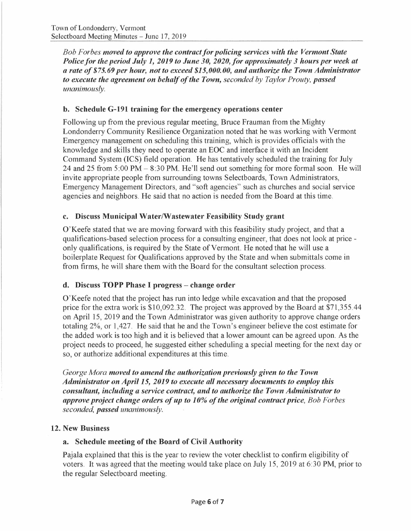*Bob Forbes moved to approve the contract for policing services with the Vermont State Police for the period July 1, 2019 to June 30, 2020, for approximately 3 hours per week at a rate of\$ 75. 69 per hour, not to exceed \$15,000.00, and authorize the Town Administrator to execute the agreement on behalf of the Town, seconded by Taylor Prouty, passed unanimously.* 

## **b. Schedule G-191 training for the emergency operations center**

Following up from the previous regular meeting, Bruce Frauman from the Mighty Londonderry Community Resilience Organization noted that he was working with Vermont Emergency management on scheduling this training, which is provides officials with the knowledge and skills they need to operate an EOC and interface it with an Incident Command System (ICS) field operation. He has tentatively scheduled the training for July 24 and 25 from 5:00 PM- 8:30 PM. He'll send out something for more formal soon. He will invite appropriate people from surrounding towns Selectboards, Town Administrators, Emergency Management Directors, and "soft agencies" such as churches and social service agencies and neighbors. He said that no action is needed from the Board at this time.

#### **c. Discuss Municipal Water/Wastewater Feasibility Study grant**

O'Keefe stated that we are moving forward with this feasibility study project, and that a qualifications-based selection process for a consulting engineer, that does not look at price only qualifications, is required by the State of Vermont. He noted that he will use a boilerplate Request for Qualifications approved by the State and when submittals come in from firms, he will share them with the Board for the consultant selection process.

## **d. Discuss TOPP Phase** <sup>I</sup>**progress - change order**

O'Keefe noted that the project has run into ledge while excavation and that the proposed price for the extra work is \$10,092.32. The project was approved by the Board at \$71,355.44 on April 15, 2019 and the Town Administrator was given authority to approve change orders totaling 2%, or 1,427. He said that he and the Town's engineer believe the cost estimate for the added work is too high and it is believed that a lower amount can be agreed upon. As the project needs to proceed, he suggested either scheduling a special meeting for the next day or so, or authorize additional expenditures at this time.

*George Mora moved to amend the authorization previously given to the Town Administrator on April 15, 2019 to execute all necessary documents to employ this consultant, including a service contract, and to authorize the Town Administrator to approve project change orders of up to 10% of the original contract price, Bob Forbes seconded, passed unanimously.* 

#### **12. New Business**

## **a. Schedule meeting of the Board of Civil Authority**

Pajala explained that this is the year to review the voter checklist to confirm eligibility of voters. It was agreed that the meeting would take place on July 15, 2019 at 6:30 PM, prior to the regular Selectboard meeting.